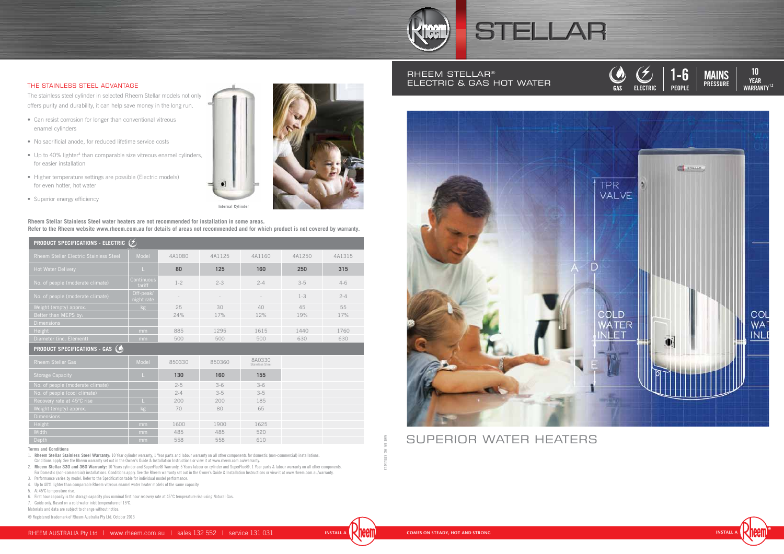#### **Terms and Conditions**

1. **Rheem Stellar Stainless Steel Warranty:** 10 Year cylinder warranty, 1 Year parts and labour warranty on all other components for domestic (non-commercial) installations.

Conditions apply. See the Rheem warranty set out in the Owner's Guide & Installation Instructions or view it at www.rheem.com.au/warranty.

2. **Rheem Stellar 330 and 360 Warranty:** 10 Years cylinder and SuperFlue® Warranty, 5 Years labour on cylinder and SuperFlue®, 1 Year parts & labour warranty on all other components.

For Domestic (non-commercial) installations. Conditions apply. See the Rheem warranty set out in the Owner's Guide & Installation Instructions or view it at www.rheem.com.au/warranty.

**PEOPLE DELIVERY PEOPLE PEOPLE DELIVERY PRESSURE**  $1-6$ **20-400 20-400 LD 20-400 M** 

#### RHEEM STELLAR<sup>®</sup> ELECTRIC & Gas HOT WATER

3. Performance varies by model. Refer to the Specification table for individual model performance.

4. Up to 40% lighter than comparable Rheem vitreous enamel water heater models of the same capacity.

5. At 45ºC temperature rise.

6. First hour capacity is the storage capacity plus nominal first hour recovery rate at 45°C temperature rise using Natural Gas.

7. Guide only. Based on a cold water inlet temperature of 15ºC.

Materials and data are subject to change without notice.

® Registered trademark of Rheem Australia Pty Ltd. October 2013

**YEAR WARRANTY 1,2 10 K WARRANTY1,2 WARRANTY1,2 WARRANTY1,2**  $\begin{array}{|c|c|c|}\n\hline\n\end{array}$  **10 WARRANTY1,2**













## SUPERIOR WATER HEATERS

#### THE STAINLESS STEEL ADVANTAGE

The stainless steel cylinder in selected Rheem Stellar models not only offers purity and durability, it can help save money in the long run.

- Can resist corrosion for longer than conventional vitreous enamel cylinders
- No sacrificial anode, for reduced lifetime service costs
- Up to 40% lighter<sup>4</sup> than comparable size vitreous enamel cylinders, for easier installation
- Higher temperature settings are possible (Electric models) for even hotter, hot water
- Superior energy efficiency





**Internal Cylinder** 

| <b>PRODUCT SPECIFICATIONS - ELECTRIC <math>(</math></b> |                         |         |         |                           |         |         |
|---------------------------------------------------------|-------------------------|---------|---------|---------------------------|---------|---------|
| Rheem Stellar Electric Stainless Steel                  | Model                   | 4A1080  | 4A1125  | 4A1160                    | 4A1250  | 4A1315  |
| Hot Water Delivery                                      | L                       | 80      | 125     | 160                       | 250     | 315     |
| No. of people (moderate climate)                        | Continuous<br>tariff    | $1 - 2$ | $2 - 3$ | $2 - 4$                   | $3 - 5$ | $4-6$   |
| No. of people (moderate climate)                        | Off-peak/<br>night rate |         |         |                           | $1 - 3$ | $2 - 4$ |
| Weight (empty) approx.                                  | kg                      | 25      | 30      | 40                        | 45      | 55      |
| Better than MEPS by:                                    |                         | 24%     | 17%     | 12%                       | 19%     | 17%     |
| <b>Dimensions</b>                                       |                         |         |         |                           |         |         |
| Height                                                  | mm                      | 885     | 1295    | 1615                      | 1440    | 1760    |
| Diameter (inc. Element)                                 | mm                      | 500     | 500     | 500                       | 630     | 630     |
| <b>PRODUCT SPECIFICATIONS - GAS (O)</b>                 |                         |         |         |                           |         |         |
| <b>Rheem Stellar Gas</b>                                | Model                   | 850330  | 850360  | 8A0330<br>Stainless Steel |         |         |
| <b>Storage Capacity</b>                                 |                         | 130     | 160     | 155                       |         |         |
| No. of people (moderate climate)                        |                         | $2 - 5$ | $3-6$   | $3-6$                     |         |         |
| No. of people (cool climate)                            |                         | $2 - 4$ | $3 - 5$ | $3 - 5$                   |         |         |
| Recovery rate at 45°C rise                              |                         | 200     | 200     | 185                       |         |         |
| Weight (empty) approx.                                  | kg                      | 70      | 80      | 65                        |         |         |
| <b>Dimensions</b>                                       |                         |         |         |                           |         |         |
| Height                                                  | mm                      | 1600    | 1900    | 1625                      |         |         |
| Width                                                   | mm                      | 485     | 485     | 520                       |         |         |
| Depth                                                   | mm                      | 558     | 558     | 610                       |         |         |



**Rheem Stellar Stainless Steel water heaters are not recommended for installation in some areas. Refer to the Rheem website www.rheem.com.au for details of areas not recommended and for which product is not covered by warranty.**